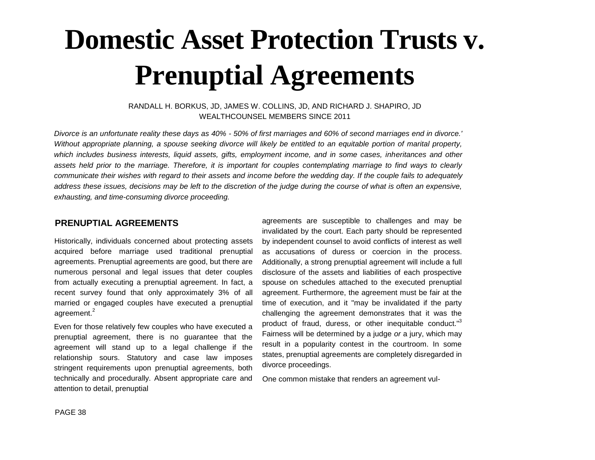# **Domestic Asset Protection Trusts v. Prenuptial Agreements**

#### RANDALL H. BORKUS, JD, JAMES W. COLLINS, JD, AND RICHARD J. SHAPIRO, JD WEALTHCOUNSEL MEMBERS SINCE 2011

*Divorce is an unfortunate reality these days as 40% - 50% of first marriages and 60% of second marriages end in divorce.' Without appropriate planning, a spouse seeking divorce will likely be entitled to an equitable portion of marital property, which includes business interests, liquid assets, gifts, employment income, and in some cases, inheritances and other assets held prior to the marriage. Therefore, it is important for couples contemplating marriage to find ways to clearly communicate their wishes with regard to their assets and income before the wedding day. If the couple fails to adequately address these issues, decisions may be left to the discretion of the judge during the course of what is often an expensive, exhausting, and time-consuming divorce proceeding.*

#### **PRENUPTIAL AGREEMENTS**

Historically, individuals concerned about protecting assets acquired before marriage used traditional prenuptial agreements. Prenuptial agreements are good, but there are numerous personal and legal issues that deter couples from actually executing a prenuptial agreement. In fact, a recent survey found that only approximately 3% of all married or engaged couples have executed a prenuptial agreement.<sup>2</sup>

Even for those relatively few couples who have executed a prenuptial agreement, there is no guarantee that the agreement will stand up to a legal challenge if the relationship sours. Statutory and case law imposes stringent requirements upon prenuptial agreements, both technically and procedurally. Absent appropriate care and attention to detail, prenuptial

agreements are susceptible to challenges and may be invalidated by the court. Each party should be represented by independent counsel to avoid conflicts of interest as well as accusations of duress or coercion in the process. Additionally, a strong prenuptial agreement will include a full disclosure of the assets and liabilities of each prospective spouse on schedules attached to the executed prenuptial agreement. Furthermore, the agreement must be fair at the time of execution, and it "may be invalidated if the party challenging the agreement demonstrates that it was the product of fraud, duress, or other inequitable conduct."<sup>3</sup> Fairness will be determined by a judge *or* a jury, which may result in a popularity contest in the courtroom. In some states, prenuptial agreements are completely disregarded in divorce proceedings.

One common mistake that renders an agreement vul-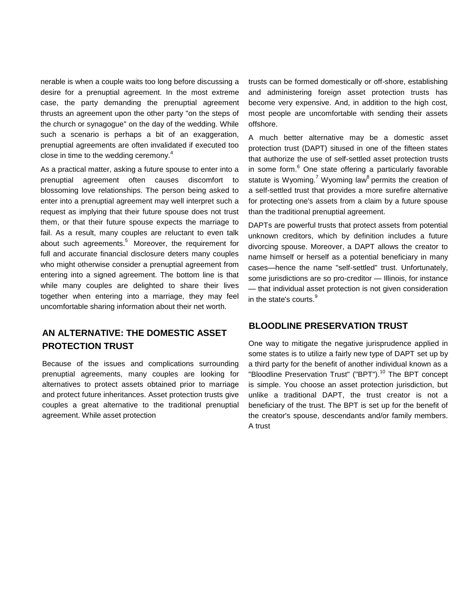nerable is when a couple waits too long before discussing a desire for a prenuptial agreement. In the most extreme case, the party demanding the prenuptial agreement thrusts an agreement upon the other party "on the steps of the church or synagogue" on the day of the wedding. While such a scenario is perhaps a bit of an exaggeration, prenuptial agreements are often invalidated if executed too close in time to the wedding ceremony.<sup>4</sup>

As a practical matter, asking a future spouse to enter into a prenuptial agreement often causes discomfort to blossoming love relationships. The person being asked to enter into a prenuptial agreement may well interpret such a request as implying that their future spouse does not trust them, or that their future spouse expects the marriage to fail. As a result, many couples are reluctant to even talk about such agreements. $5$  Moreover, the requirement for full and accurate financial disclosure deters many couples who might otherwise consider a prenuptial agreement from entering into a signed agreement. The bottom line is that while many couples are delighted to share their lives together when entering into a marriage, they may feel uncomfortable sharing information about their net worth.

### **AN ALTERNATIVE: THE DOMESTIC ASSET PROTECTION TRUST**

Because of the issues and complications surrounding prenuptial agreements, many couples are looking for alternatives to protect assets obtained prior to marriage and protect future inheritances. Asset protection trusts give couples a great alternative to the traditional prenuptial agreement. While asset protection

trusts can be formed domestically or off-shore, establishing and administering foreign asset protection trusts has become very expensive. And, in addition to the high cost, most people are uncomfortable with sending their assets offshore.

A much better alternative may be a domestic asset protection trust (DAPT) sitused in one of the fifteen states that authorize the use of self-settled asset protection trusts in some form. $6$  One state offering a particularly favorable statute is Wyoming.<sup>7</sup> Wyoming law<sup>8</sup> permits the creation of a self-settled trust that provides a more surefire alternative for protecting one's assets from a claim by a future spouse than the traditional prenuptial agreement.

DAPTs are powerful trusts that protect assets from potential unknown creditors, which by definition includes a future divorcing spouse. Moreover, a DAPT allows the creator to name himself or herself as a potential beneficiary in many cases—hence the name "self-settled" trust. Unfortunately, some jurisdictions are so pro-creditor — Illinois, for instance — that individual asset protection is not given consideration in the state's courts.<sup>9</sup>

#### **BLOODLINE PRESERVATION TRUST**

One way to mitigate the negative jurisprudence applied in some states is to utilize a fairly new type of DAPT set up by a third party for the benefit of another individual known as a "Bloodline Preservation Trust" ("BPT").<sup>10</sup> The BPT concept is simple. You choose an asset protection jurisdiction, but unlike a traditional DAPT, the trust creator is not a beneficiary of the trust. The BPT is set up for the benefit of the creator's spouse, descendants and/or family members. A trust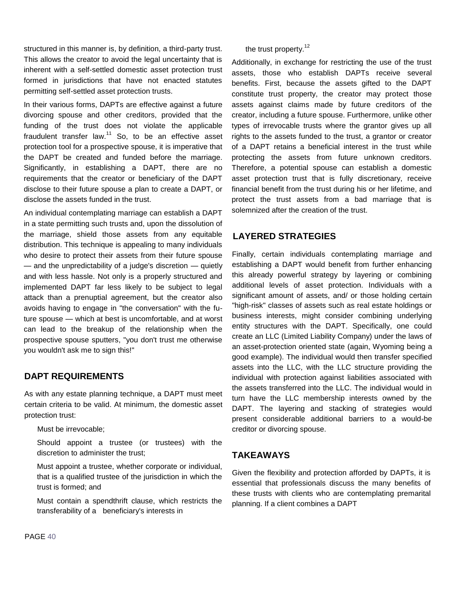structured in this manner is, by definition, a third-party trust. This allows the creator to avoid the legal uncertainty that is inherent with a self-settled domestic asset protection trust formed in jurisdictions that have not enacted statutes permitting self-settled asset protection trusts.

In their various forms, DAPTs are effective against a future divorcing spouse and other creditors, provided that the funding of the trust does not violate the applicable fraudulent transfer law. $11$  So, to be an effective asset protection tool for a prospective spouse, it is imperative that the DAPT be created and funded before the marriage. Significantly, in establishing a DAPT, there are no requirements that the creator or beneficiary of the DAPT disclose to their future spouse a plan to create a DAPT, or disclose the assets funded in the trust.

An individual contemplating marriage can establish a DAPT in a state permitting such trusts and, upon the dissolution of the marriage, shield those assets from any equitable distribution. This technique is appealing to many individuals who desire to protect their assets from their future spouse — and the unpredictability of a judge's discretion — quietly and with less hassle. Not only is a properly structured and implemented DAPT far less likely to be subject to legal attack than a prenuptial agreement, but the creator also avoids having to engage in "the conversation" with the future spouse — which at best is uncomfortable, and at worst can lead to the breakup of the relationship when the prospective spouse sputters, "you don't trust me otherwise you wouldn't ask me to sign this!"

#### **DAPT REQUIREMENTS**

As with any estate planning technique, a DAPT must meet certain criteria to be valid. At minimum, the domestic asset protection trust:

Must be irrevocable;

Should appoint a trustee (or trustees) with the discretion to administer the trust;

Must appoint a trustee, whether corporate or individual, that is a qualified trustee of the jurisdiction in which the trust is formed; and

Must contain a spendthrift clause, which restricts the transferability of a beneficiary's interests in

#### the trust property.<sup>12</sup>

Additionally, in exchange for restricting the use of the trust assets, those who establish DAPTs receive several benefits. First, because the assets gifted to the DAPT constitute trust property, the creator may protect those assets against claims made by future creditors of the creator, including a future spouse. Furthermore, unlike other types of irrevocable trusts where the grantor gives up all rights to the assets funded to the trust, a grantor or creator of a DAPT retains a beneficial interest in the trust while protecting the assets from future unknown creditors. Therefore, a potential spouse can establish a domestic asset protection trust that is fully discretionary, receive financial benefit from the trust during his or her lifetime, and protect the trust assets from a bad marriage that is solemnized after the creation of the trust.

#### **LAYERED STRATEGIES**

Finally, certain individuals contemplating marriage and establishing a DAPT would benefit from further enhancing this already powerful strategy by layering or combining additional levels of asset protection. Individuals with a significant amount of assets, and/ or those holding certain "high-risk" classes of assets such as real estate holdings or business interests, might consider combining underlying entity structures with the DAPT. Specifically, one could create an LLC (Limited Liability Company) under the laws of an asset-protection oriented state (again, Wyoming being a good example). The individual would then transfer specified assets into the LLC, with the LLC structure providing the individual with protection against liabilities associated with the assets transferred into the LLC. The individual would in turn have the LLC membership interests owned by the DAPT. The layering and stacking of strategies would present considerable additional barriers to a would-be creditor or divorcing spouse.

#### **TAKEAWAYS**

Given the flexibility and protection afforded by DAPTs, it is essential that professionals discuss the many benefits of these trusts with clients who are contemplating premarital planning. If a client combines a DAPT